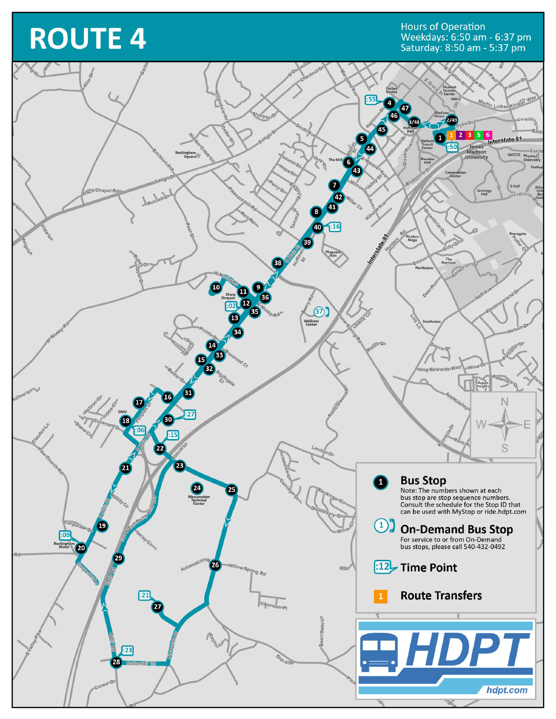## **ROUTE 4**

Hours of Operation<br>Weekdays: 6:50 am - 6:37 pm<br>Saturday: 8:50 am - 5:37 pm